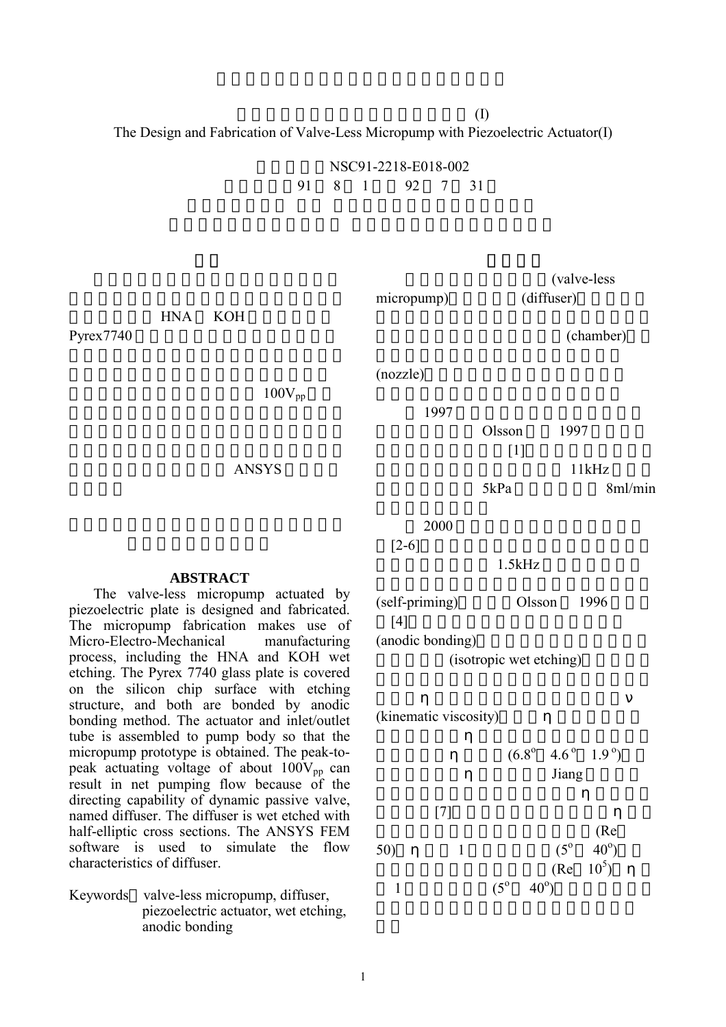$(I)$ The Design and Fabrication of Valve-Less Micropump with Piezoelectric Actuator(I)

> NSC91-2218-E018-002 執行期限:91 8 1 日至 92 7 31

> > $(nozzle)$

(valve-less micropump) (diffuser)

(chamber)

 $11kHz$ 

 $100V_{pp}$ 

ANSYS

2000

1997

 $[2-6]$ 

 $1.5kHz$ 

(self-priming) Olsson 1996  $[4]$ (anodic bonding)

(isotropic wet etching)

(kinematic viscosity)

$$
(6.8^{\circ} \quad 4.6^{\circ} \quad 1.9^{\circ})
$$
   
 Jiang

50)   
1 
$$
(5^{\circ} 40^{\circ})
$$
  
1  $(5^{\circ} 40^{\circ})$   
1  $(5^{\circ} 40^{\circ})$ 

## **ABSTRACT**

HNA KOH

Pyrex7740

The valve-less micropump actuated by piezoelectric plate is designed and fabricated. The micropump fabrication makes use of Micro-Electro-Mechanical manufacturing process, including the HNA and KOH wet etching. The Pyrex 7740 glass plate is covered on the silicon chip surface with etching structure, and both are bonded by anodic bonding method. The actuator and inlet/outlet tube is assembled to pump body so that the micropump prototype is obtained. The peak-topeak actuating voltage of about  $100V_{pp}$  can result in net pumping flow because of the directing capability of dynamic passive valve, named diffuser. The diffuser is wet etched with half-elliptic cross sections. The ANSYS FEM software is used to simulate the flow characteristics of diffuser.

Keywords valve-less micropump, diffuser, piezoelectric actuator, wet etching, anodic bonding

1

 $[1]$ 

 $O$ lsson  $1997$ 

 $5kPa$  8ml/min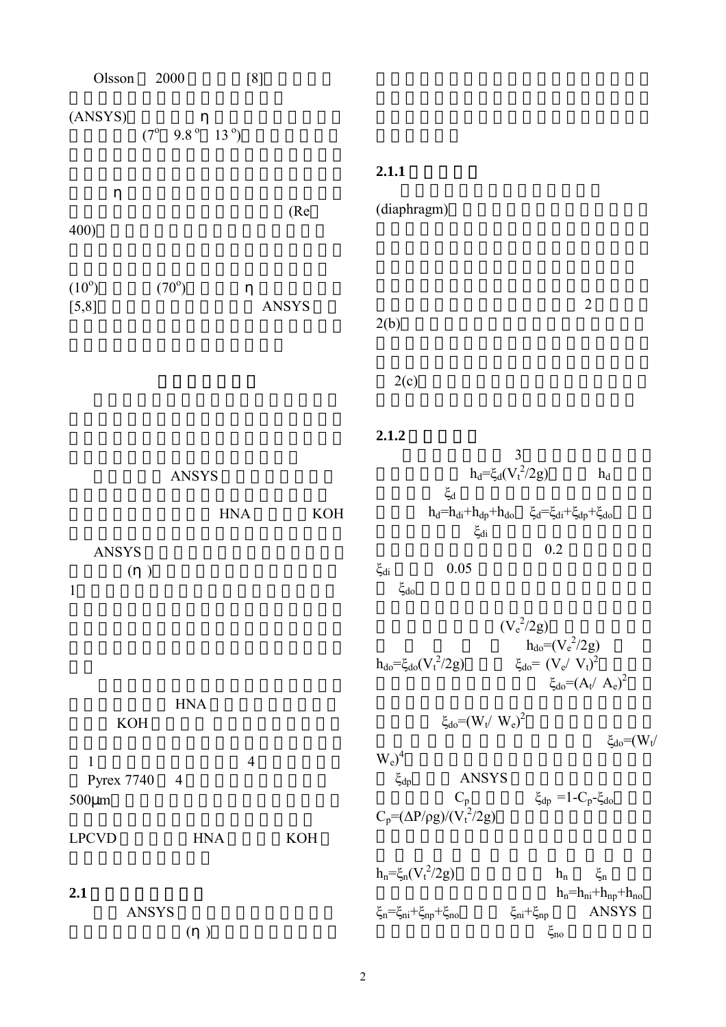| Olsson                                           | $2000\,$<br>[8]                             |                      |                                                                                                     |                                                                                   |
|--------------------------------------------------|---------------------------------------------|----------------------|-----------------------------------------------------------------------------------------------------|-----------------------------------------------------------------------------------|
| (ANSYS)                                          | $(7^{\circ}$ 9.8 $^{\circ}$ 13 $^{\circ}$ ) |                      |                                                                                                     |                                                                                   |
|                                                  |                                             |                      | 2.1.1                                                                                               |                                                                                   |
| 400)                                             |                                             | (Re                  | (diaphragm)                                                                                         |                                                                                   |
| $(10^{\circ})$<br>[5,8]                          | $(70^{\circ})$                              | ANSYS                | 2(b)                                                                                                | $\sqrt{2}$                                                                        |
|                                                  |                                             |                      | 2(c)                                                                                                |                                                                                   |
|                                                  |                                             |                      | 2.1.2<br>3                                                                                          |                                                                                   |
|                                                  | <b>ANSYS</b>                                |                      | $h_d = \xi_d (V_t^2 / 2g)$                                                                          | $h_d$                                                                             |
|                                                  | <b>HNA</b>                                  | $\operatorname{KOH}$ | $\xi_d$<br>$h_d=h_{di}+h_{dp}+h_{do} \hspace{0.2in} \xi_d=\xi_{di}+\xi_{dp}+\xi_{do}$<br>$\xi_{di}$ |                                                                                   |
| ANSYS<br>$(\ )$<br>$\mathbf{1}$                  |                                             |                      | $\xi_{di}$<br>$0.05\,$<br>$\xi_{\rm do}$                                                            | 0.2                                                                               |
|                                                  |                                             |                      | $(V_e^2/2g)$<br>$h_{do} = \xi_{do}(V_t^2/2g)$                                                       | $h_{do} = (V_e^2/2g)$<br>$\xi_{do} = (V_e / V_t)^2$<br>$\xi_{do} = (A_t / A_e)^2$ |
| <b>KOH</b>                                       | $\operatorname{HNA}$                        |                      | $\xi_{\rm do} = (W_t / W_e)^2$                                                                      | $\xi_{do} = (W_t/$                                                                |
| $\mathbf{1}$<br><b>Pyrex 7740</b><br>$500 \mu m$ | $\overline{4}$<br>$\overline{4}$            |                      | $W_e)^4$<br><b>ANSYS</b><br>$\xi_{dp}$<br>$C_p$                                                     | $\xi_{dp}$ =1-C <sub>p</sub> - $\xi_{do}$                                         |
| <b>LPCVD</b>                                     | <b>HNA</b>                                  | <b>KOH</b>           | $C_p = (\Delta P/\rho g)/(V_t^2/2g)$                                                                |                                                                                   |
| 2.1<br><b>ANSYS</b>                              | $(\ )$                                      |                      | $h_n = \xi_n (V_t^2 / 2g)$<br>$\xi_n = \xi_{ni} + \xi_{np} + \xi_{no}$<br>$\xi_{ni}+\xi_{np}$       | $\xi_n$<br>$h_n$<br>$h_n=h_{ni}+h_{np}+h_{no}$<br><b>ANSYS</b><br>$\xi_{\rm no}$  |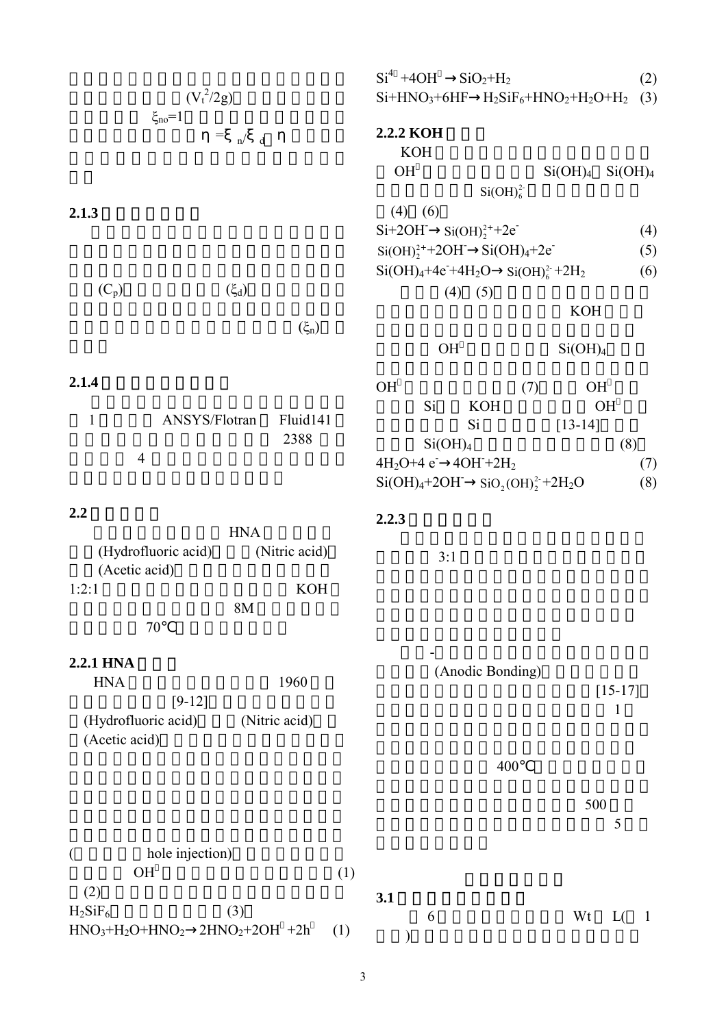|                                                                                        | $Si4 +4OH$ $SiO2+H2$<br>(2)                                                                                         |
|----------------------------------------------------------------------------------------|---------------------------------------------------------------------------------------------------------------------|
| $(V_t^2/2g)$                                                                           | $Si+HNO3+6HF$ $H2SiF6+HNO2+H2O+H2$ (3)                                                                              |
| $\xi_{\rm no} = 1$<br>$\hspace{1.6cm} = \hspace{1.6cm}$<br>n/<br>$\mathbf d$           | 2.2.2 KOH<br><b>KOH</b><br><b>OH</b><br>Si(OH) <sub>4</sub> Si(OH) <sub>4</sub><br>Si(OH) <sub>6</sub> <sup>2</sup> |
| 2.1.3                                                                                  | $(4)$ (6)                                                                                                           |
|                                                                                        | $Si+2OH$ $Si(OH)22++2e$<br>(4)                                                                                      |
|                                                                                        | $Si(OH)22++2OH$ $Si(OH)4+2e$<br>(5)                                                                                 |
| $(C_p)$<br>$(\xi_d)$                                                                   | $Si(OH)4+4e+4H2O$ $Si(OH)62+2H2$<br>(6)<br>$(4)$ (5)                                                                |
| $(\xi_n)$                                                                              | <b>KOH</b>                                                                                                          |
|                                                                                        | OH<br>Si(OH) <sub>4</sub>                                                                                           |
| 2.1.4<br>$\mathbf{1}$<br>ANSYS/Flotran<br>Fluid141<br>2388                             | OH<br>(7)<br><b>OH</b><br>Si<br><b>KOH</b><br>OH<br>Si<br>$[13-14]$<br>Si(OH) <sub>4</sub><br>(8)                   |
| $\overline{4}$                                                                         | $4H_2O+4e$ $4OH+2H_2$<br>(7)<br>$Si(OH)4+2OH$ $SiO2(OH)22+2H2O$<br>(8)                                              |
| 2.2<br><b>HNA</b>                                                                      | 2.2.3                                                                                                               |
| (Hydrofluoric acid)<br>(Nitric acid)<br>(Acetic acid)                                  | 3:1                                                                                                                 |
| <b>KOH</b><br>1:2:1<br>8M<br>70                                                        |                                                                                                                     |
| 2.2.1 HNA                                                                              |                                                                                                                     |
| $\rm HNA$<br>1960<br>$[9-12]$<br>(Hydrofluoric acid)<br>(Nitric acid)<br>(Acetic acid) | (Anodic Bonding)<br>$[15-17]$<br>$\mathbf{1}$                                                                       |
|                                                                                        | 400                                                                                                                 |
|                                                                                        | 500<br>5                                                                                                            |
| hole injection)<br>$\overline{(}$                                                      |                                                                                                                     |
| <b>OH</b><br>(1)                                                                       |                                                                                                                     |
| (2)<br>$H_2SiF_6$<br>(3)<br>$HNO3+H2O+HNO2$ 2HNO <sub>2</sub> +2OH +2h<br>(1)          | 3.1<br>Wt<br>6<br>L(<br>$\perp$                                                                                     |

3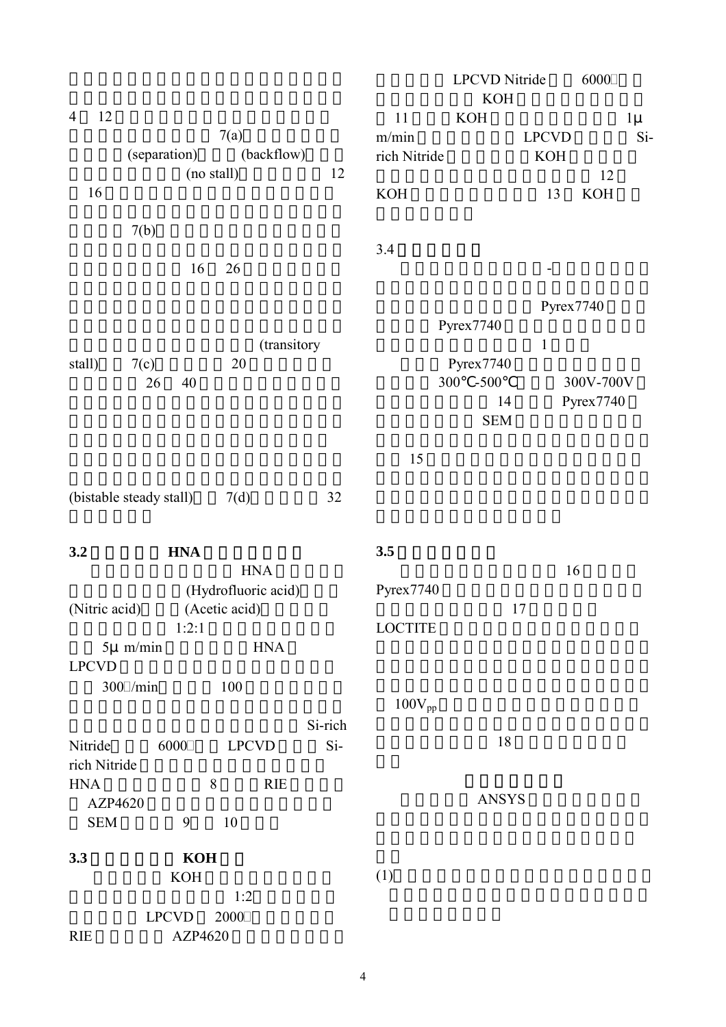|                      |                         |                     |         |                | <b>LPCVD</b> Nitride |              | 6000       |
|----------------------|-------------------------|---------------------|---------|----------------|----------------------|--------------|------------|
|                      |                         |                     |         |                | <b>KOH</b>           |              |            |
| 12<br>$\overline{4}$ |                         |                     |         | 11             | <b>KOH</b>           |              | $1\mu$     |
|                      |                         | 7(a)                |         | m/min          |                      | <b>LPCVD</b> | $Si-$      |
|                      | (separation)            | (backflow)          |         | rich Nitride   |                      | <b>KOH</b>   |            |
|                      |                         | (no stall)          | 12      |                |                      |              | 12         |
| 16                   |                         |                     |         | <b>KOH</b>     |                      | 13           | <b>KOH</b> |
|                      |                         |                     |         |                |                      |              |            |
|                      | 7(b)                    |                     |         |                |                      |              |            |
|                      |                         |                     |         | 3.4            |                      |              |            |
|                      | 16                      | 26                  |         |                |                      |              |            |
|                      |                         |                     |         |                |                      |              |            |
|                      |                         |                     |         |                |                      | Pyrex7740    |            |
|                      |                         |                     |         |                | Pyrex7740            |              |            |
|                      |                         | (transitory         |         |                |                      | $\,1\,$      |            |
| stall)               | 7(c)                    | 20                  |         |                | Pyrex7740            |              |            |
|                      | 26<br>40                |                     |         |                | $-500$<br>300        |              | 300V-700V  |
|                      |                         |                     |         |                | 14                   |              | Pyrex7740  |
|                      |                         |                     |         |                |                      |              |            |
|                      |                         |                     |         |                | <b>SEM</b>           |              |            |
|                      |                         |                     |         |                |                      |              |            |
|                      |                         |                     |         | 15             |                      |              |            |
|                      |                         |                     |         |                |                      |              |            |
|                      | (bistable steady stall) | 7(d)                | 32      |                |                      |              |            |
|                      |                         |                     |         |                |                      |              |            |
| 3.2                  | <b>HNA</b>              |                     |         | 3.5            |                      |              |            |
|                      |                         | <b>HNA</b>          |         |                |                      | 16           |            |
|                      |                         | (Hydrofluoric acid) |         | Pyrex7740      |                      |              |            |
| (Nitric acid)        |                         | (Acetic acid)       |         |                |                      | 17           |            |
|                      | 1:2:1                   |                     |         | <b>LOCTITE</b> |                      |              |            |
|                      | $5\mu$ m/min            | <b>HNA</b>          |         |                |                      |              |            |
| <b>LPCVD</b>         |                         |                     |         |                |                      |              |            |
|                      |                         |                     |         |                |                      |              |            |
|                      | $300$ /min              | 100                 |         |                |                      |              |            |
|                      |                         |                     |         | $100V_{pp}$    |                      |              |            |
|                      |                         |                     | Si-rich |                |                      |              |            |
| Nitride              | 6000                    | <b>LPCVD</b>        | $Si-$   |                | 18                   |              |            |
| rich Nitride         |                         |                     |         |                |                      |              |            |
| <b>HNA</b>           |                         | 8<br><b>RIE</b>     |         |                |                      |              |            |
| AZP4620              |                         |                     |         |                | <b>ANSYS</b>         |              |            |
| <b>SEM</b>           | 9                       | 10                  |         |                |                      |              |            |
|                      |                         |                     |         |                |                      |              |            |
| 3.3                  | <b>KOH</b>              |                     |         |                |                      |              |            |
|                      | KOH                     |                     |         | (1)            |                      |              |            |
|                      |                         | 1:2                 |         |                |                      |              |            |
|                      | <b>LPCVD</b>            | 2000                |         |                |                      |              |            |
| <b>RIE</b>           | AZP4620                 |                     |         |                |                      |              |            |
|                      |                         |                     |         |                |                      |              |            |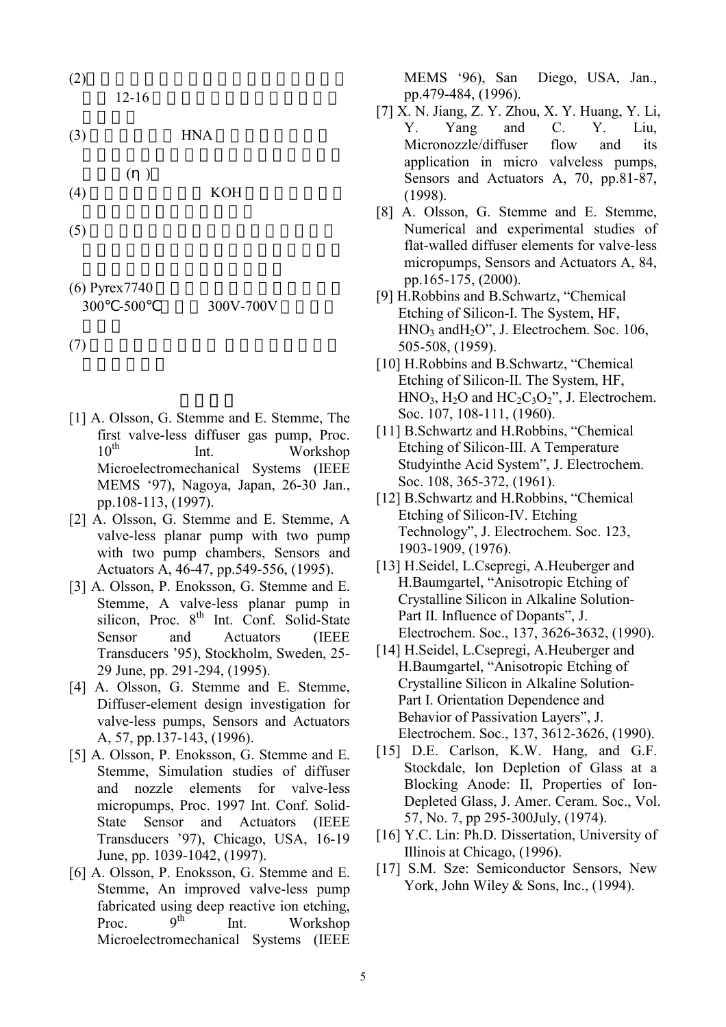(2)分析結果顯示微泵浦之最佳擴流器效率約 發生 12-16 度之擴流器角度,不過尚須實 (3) 微泵浦正面之 HNA 製程為非等向性蝕 器效率( ) (4) 微泵浦背面可利用 KOH 蝕刻成振動膜, (5) 陽極接合因表面不清潔、氣泡或玻璃中

 $(6)$  Pyrex $7740$ 300 -500 300V-700V

 $(7)$ 

- [1] A. Olsson, G. Stemme and E. Stemme, The first valve-less diffuser gas pump, Proc. 10<sup>th</sup> Int. Workshop Microelectromechanical Systems (IEEE MEMS '97), Nagoya, Japan, 26-30 Jan., pp.108-113, (1997).
- [2] A. Olsson, G. Stemme and E. Stemme, A valve-less planar pump with two pump with two pump chambers, Sensors and Actuators A, 46-47, pp.549-556, (1995).
- [3] A. Olsson, P. Enoksson, G. Stemme and E. Stemme, A valve-less planar pump in silicon, Proc.  $8<sup>th</sup>$  Int. Conf. Solid-State Sensor and Actuators (IEEE Transducers '95), Stockholm, Sweden, 25- 29 June, pp. 291-294, (1995).
- [4] A. Olsson, G. Stemme and E. Stemme, Diffuser-element design investigation for valve-less pumps, Sensors and Actuators A, 57, pp.137-143, (1996).
- [5] A. Olsson, P. Enoksson, G. Stemme and E. Stemme, Simulation studies of diffuser and nozzle elements for valve-less micropumps, Proc. 1997 Int. Conf. Solid-State Sensor and Actuators (IEEE Transducers '97), Chicago, USA, 16-19 June, pp. 1039-1042, (1997).
- [6] A. Olsson, P. Enoksson, G. Stemme and E. Stemme, An improved valve-less pump fabricated using deep reactive ion etching, Proc.  $9^{th}$  Int. Workshop Microelectromechanical Systems (IEEE

MEMS '96), San Diego, USA, Jan., pp.479-484, (1996).

- [7] X. N. Jiang, Z. Y. Zhou, X. Y. Huang, Y. Li, Y. Yang and C. Y. Liu, Micronozzle/diffuser flow and its application in micro valveless pumps, Sensors and Actuators A, 70, pp.81-87, (1998).
- [8] A. Olsson, G. Stemme and E. Stemme, Numerical and experimental studies of flat-walled diffuser elements for valve-less micropumps, Sensors and Actuators A, 84, pp.165-175, (2000).
- [9] H.Robbins and B.Schwartz, "Chemical Etching of Silicon-I. The System, HF, HNO3 andH2O", J. Electrochem. Soc. 106, 505-508, (1959).
- [10] H.Robbins and B.Schwartz, "Chemical Etching of Silicon-II. The System, HF,  $HNO<sub>3</sub>, H<sub>2</sub>O$  and  $HC<sub>2</sub>C<sub>3</sub>O<sub>2</sub>$ ", J. Electrochem. Soc. 107, 108-111, (1960).
- [11] B.Schwartz and H.Robbins, "Chemical Etching of Silicon-III. A Temperature Studyinthe Acid System", J. Electrochem. Soc. 108, 365-372, (1961).
- [12] B.Schwartz and H.Robbins, "Chemical Etching of Silicon-IV. Etching Technology", J. Electrochem. Soc. 123, 1903-1909, (1976).
- [13] H.Seidel, L.Csepregi, A.Heuberger and H.Baumgartel, "Anisotropic Etching of Crystalline Silicon in Alkaline Solution-Part II. Influence of Dopants", J. Electrochem. Soc., 137, 3626-3632, (1990).
- [14] H.Seidel, L.Csepregi, A.Heuberger and H.Baumgartel, "Anisotropic Etching of Crystalline Silicon in Alkaline Solution-Part I. Orientation Dependence and Behavior of Passivation Layers", J. Electrochem. Soc., 137, 3612-3626, (1990).
- [15] D.E. Carlson, K.W. Hang, and G.F. Stockdale, Ion Depletion of Glass at a Blocking Anode: II, Properties of Ion-Depleted Glass, J. Amer. Ceram. Soc., Vol. 57, No. 7, pp 295-300July, (1974).
- [16] Y.C. Lin: Ph.D. Dissertation, University of Illinois at Chicago, (1996).
- [17] S.M. Sze: Semiconductor Sensors, New York, John Wiley & Sons, Inc., (1994).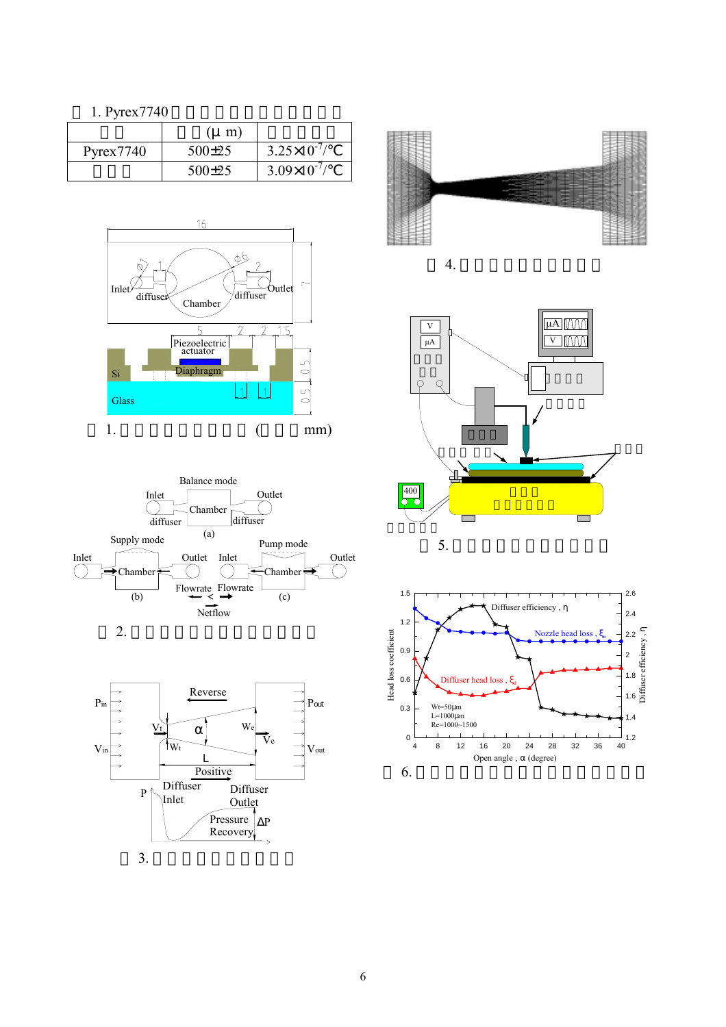1. Pyrex7740

|                                | $(\mu$ m) |                       |
|--------------------------------|-----------|-----------------------|
| $P$ <sub>V</sub> $r$ ex $7740$ | $500+25$  | $3.25 \times 10^{-7}$ |
|                                | $500+25$  | $3.09\times10^{-7}$   |

















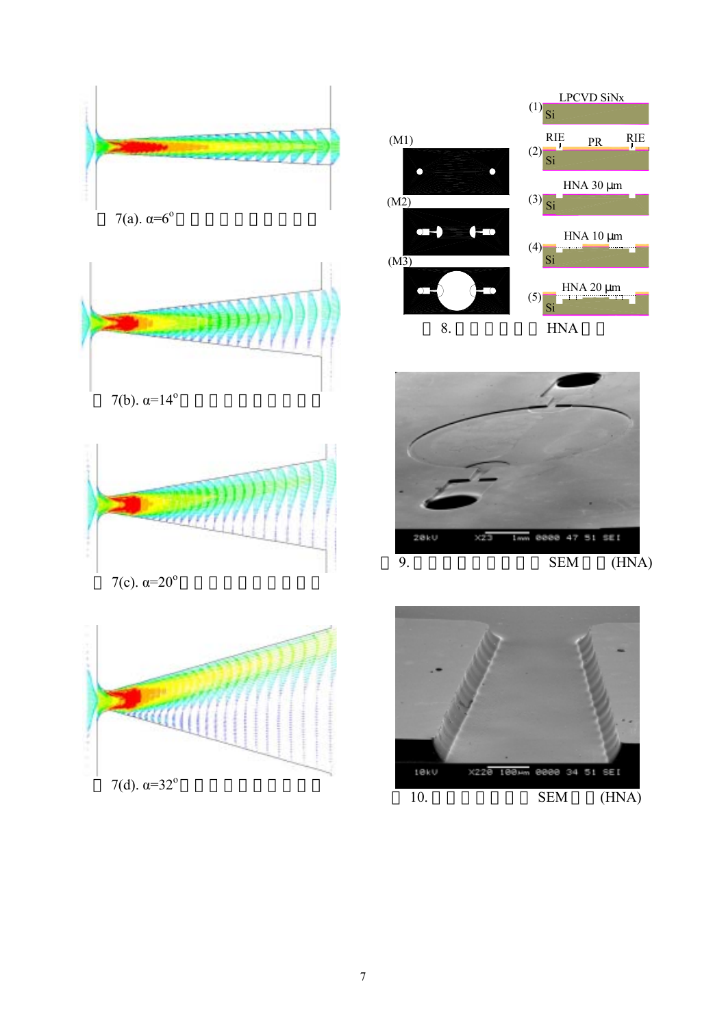



7(b).  $\alpha = 14^{\circ}$ 



7(c).  $α=20°$ 









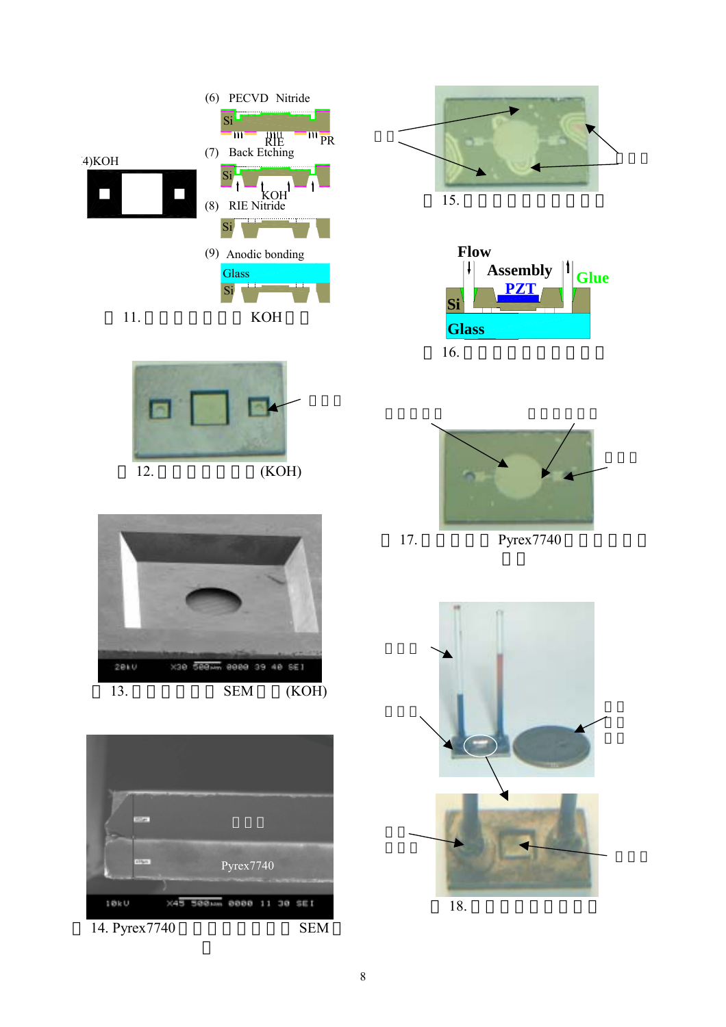













18. 一元  $\mathbb{R}^n$ 

瞬間